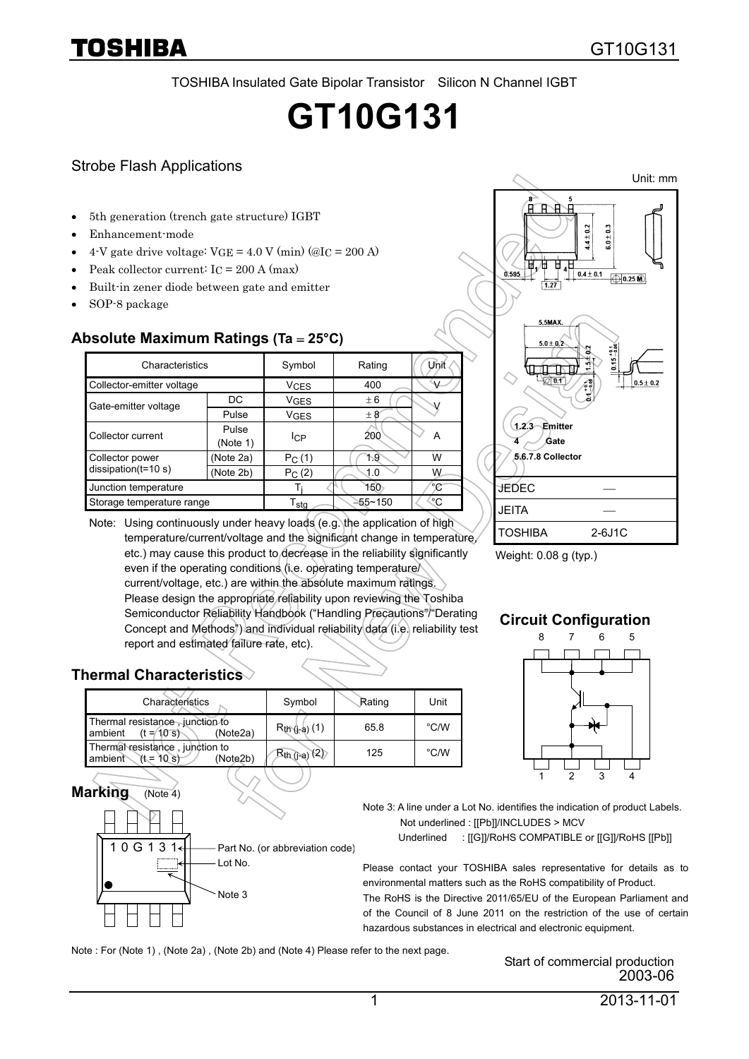TOSHIBA Insulated Gate Bipolar Transistor Silicon N Channel IGBT

# **GT10G131**

#### Strobe Flash Applications

- 5th generation (trench gate structure) IGBT
- Enhancement-mode
- 4-V gate drive voltage:  $VGE = 4.0 V (min)$  (@I<sub>C</sub> = 200 A)
- Peak collector current:  $I_C = 200$  A (max)
- Built-in zener diode between gate and emitter
- SOP-8 package

#### **Absolute Maximum Ratings (Ta** = **25°C)**

| Characteristics                          |                   | Symbol                 | Rating  | Unit |  |
|------------------------------------------|-------------------|------------------------|---------|------|--|
| Collector-emitter voltage                |                   | <b>V<sub>CES</sub></b> | 400     | V    |  |
| Gate-emitter voltage                     | DC                | <b>V<sub>GES</sub></b> | ± 6     |      |  |
|                                          | Pulse             | VGES                   | $\pm 8$ |      |  |
| Collector current                        | Pulse<br>(Note 1) | <b>I</b> CP            | 200     | A    |  |
| Collector power<br>$dissipation(t=10 s)$ | (Note 2a)         | $P_C(1)$               | ት 9     | W    |  |
|                                          | (Note 2b)         | $P_C(2)$               | 1.0     | W    |  |
| Junction temperature                     |                   |                        | 150     | °C   |  |
| Storage temperature range                |                   | T <sub>sta</sub>       | ≧55~150 | ಿ೧   |  |





Weight: 0.08 g (typ.)

#### **Circuit Configuration**

8 6 7 5



**Marking** (Note 4)

10G131

| Characterístics                                                       | Symbol             | Rating | Unit          |
|-----------------------------------------------------------------------|--------------------|--------|---------------|
| Thermal resistance, junction to<br>$(t = 10$ s<br>ambient<br>(Note2a) | $R_{th}$ (j-a) (1) | 65.8   | $\degree$ C/W |
| Thermal resistance, junction to<br>ambient $(t = 10 s)$<br>(Note2b)   | $R_{th (j-a)}(2)$  | 125    | $\degree$ C/W |

Part No. (or abbreviation code)



Note 3: A line under a Lot No. identifies the indication of product Labels. Not underlined : [[Pb]]/INCLUDES > MCV

Underlined : [[G]]/RoHS COMPATIBLE or [[G]]/RoHS [[Pb]]

Please contact your TOSHIBA sales representative for details as to environmental matters such as the RoHS compatibility of Product. The RoHS is the Directive 2011/65/EU of the European Parliament and of the Council of 8 June 2011 on the restriction of the use of certain hazardous substances in electrical and electronic equipment.

Note : For (Note 1) , (Note 2a) , (Note 2b) and (Note 4) Please refer to the next page.

Lot No.

Note 3

Start of commercial production 2003-06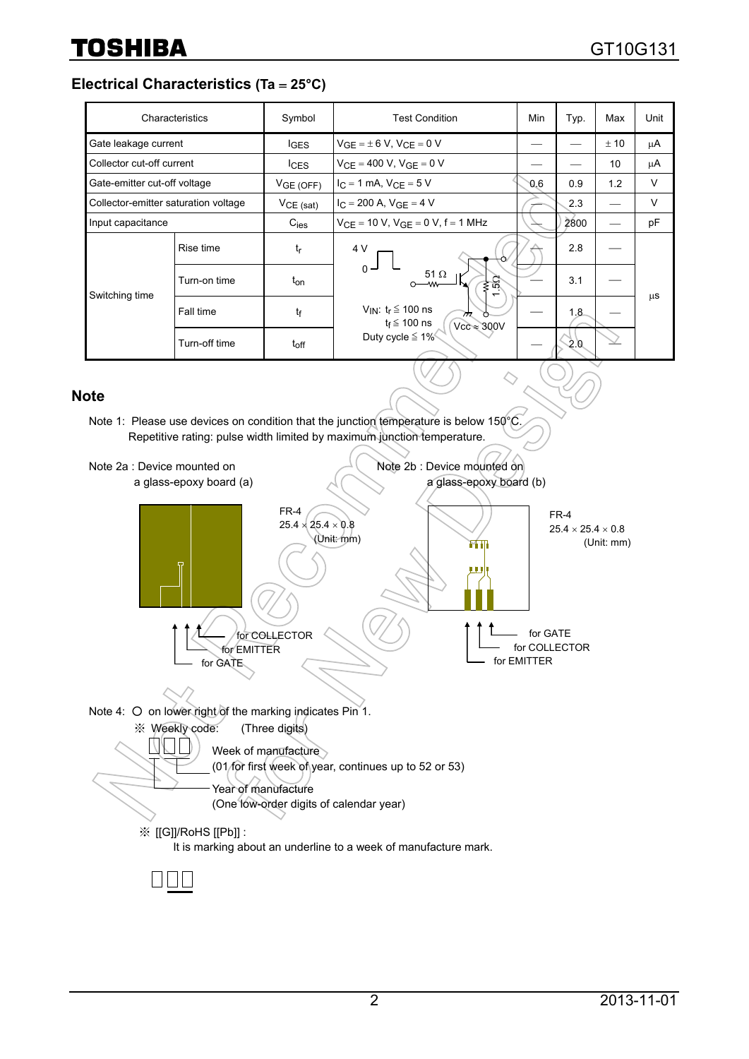**Electrical Characteristics (Ta** = **25°C)** 

|                                      | Characteristics | Symbol           | <b>Test Condition</b>                                                                                                                                         | Min | Typ. | Max  | Unit   |
|--------------------------------------|-----------------|------------------|---------------------------------------------------------------------------------------------------------------------------------------------------------------|-----|------|------|--------|
| Gate leakage current                 |                 | <b>IGES</b>      | $V_{GE} = \pm 6 V$ , $V_{CE} = 0 V$                                                                                                                           |     |      | ± 10 | μA     |
| Collector cut-off current            |                 | $I_{CES}$        | $V_{CF} = 400 V$ , $V_{GF} = 0 V$                                                                                                                             |     |      | 10   | μA     |
| Gate-emitter cut-off voltage         |                 | VGE(OFF)         | $I_C = 1$ mA, $V_{CF} = 5$ V                                                                                                                                  | 0.6 | 0.9  | 1.2  | V      |
| Collector-emitter saturation voltage |                 | $VCE$ (sat)      | $I_C = 200$ A, $V_{GF} = 4$ V                                                                                                                                 |     | 2.3  |      | $\vee$ |
| Input capacitance                    |                 | $C_{\text{ies}}$ | $V_{CE}$ = 10 V, $V_{GE}$ = 0 V, f = 1 MHz                                                                                                                    |     | 2800 |      | pF     |
| Switching time                       | Rise time       | $t_{\sf r}$      | 4 V<br>$0 -$<br>51 $\Omega$<br>≸ऍ<br>–∕∨∧<br>V <sub>IN</sub> : $t_r \leq 100$ ns<br>$\pi$<br>$t_f \leq 100$ ns<br>$Vcc \approx 300V$<br>Duty cycle $\leq 1\%$ |     | 2.8  |      | μS     |
|                                      | Turn-on time    | $t_{on}$         |                                                                                                                                                               |     | 3.1  |      |        |
|                                      | Fall time       | tf               |                                                                                                                                                               |     | 1.8  |      |        |
|                                      | Turn-off time   | $t_{off}$        |                                                                                                                                                               |     | -2.0 |      |        |

 $\Diamond$ 

#### **Note**

Note 1: Please use devices on condition that the junction temperature is below 150°C. Repetitive rating: pulse width limited by maximum junction temperature.

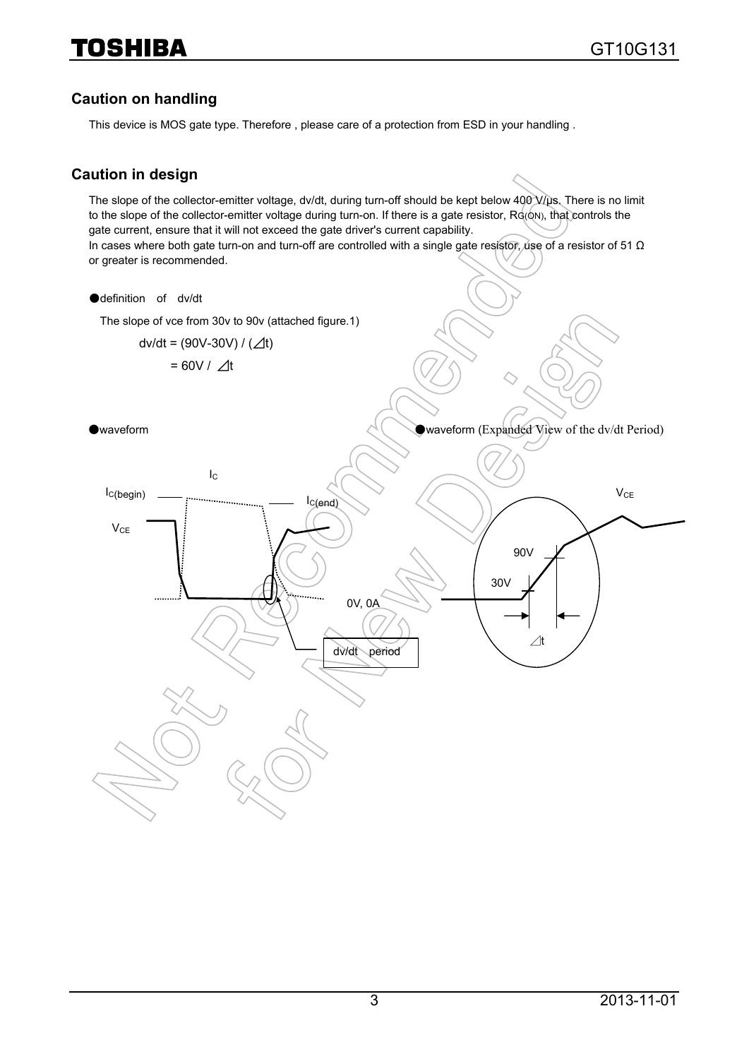#### **Caution on handling**

This device is MOS gate type. Therefore , please care of a protection from ESD in your handling .

#### **Caution in design**

The slope of the collector-emitter voltage, dv/dt, during turn-off should be kept below 400 V/us. There is no limit to the slope of the collector-emitter voltage during turn-on. If there is a gate resistor, RG(ON), that controls the gate current, ensure that it will not exceed the gate driver's current capability. In cases where both gate turn-on and turn-off are controlled with a single gate resistor, use of a resistor of 51 Ω or greater is recommended.

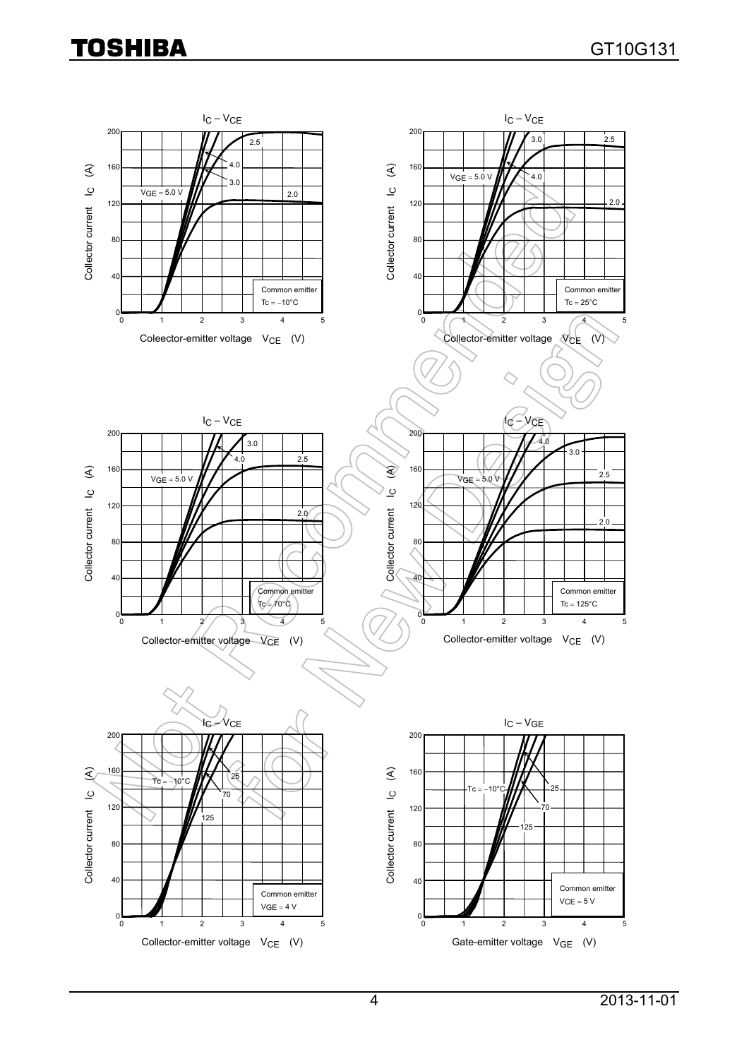## **TOSHIBA**

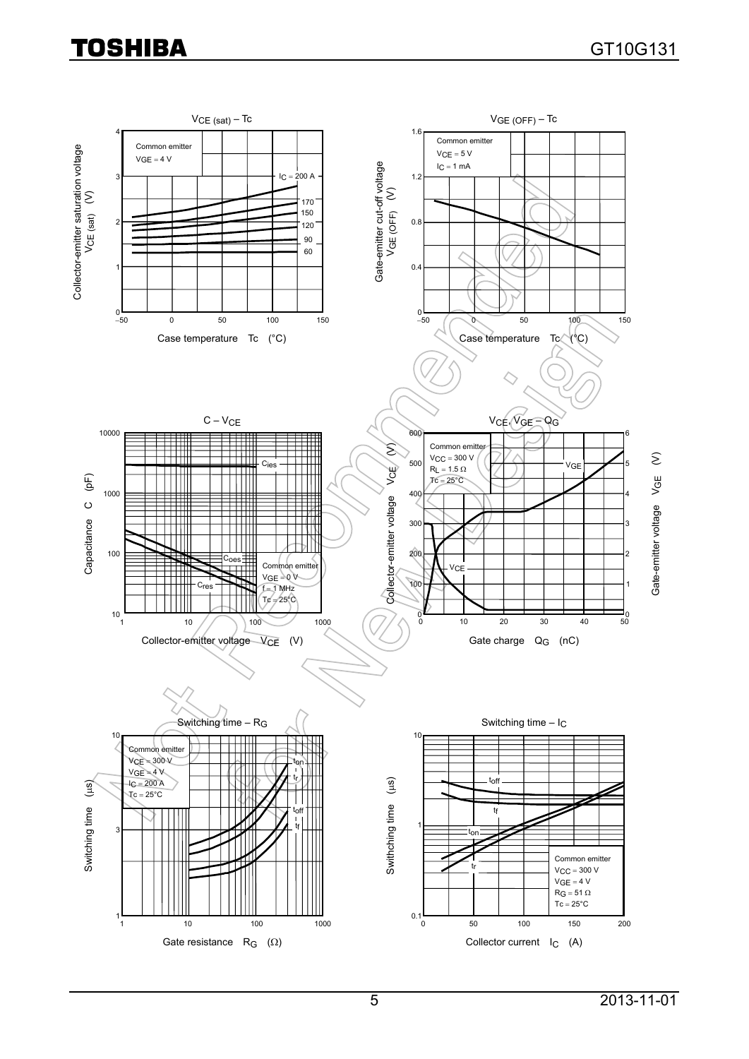## **TOSHIBA**

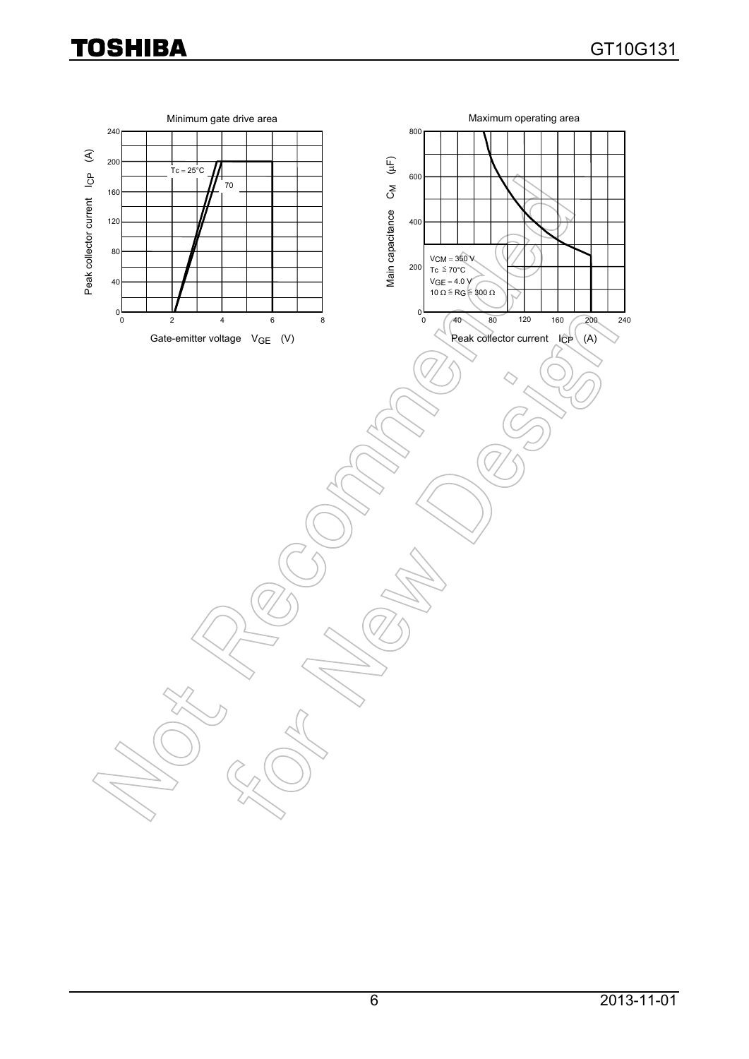### **TOSHIBA**